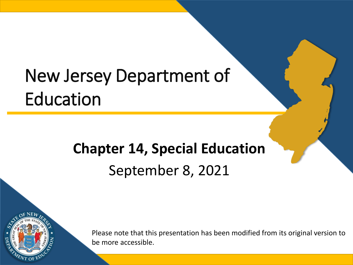## New Jersey Department of Education

#### **Chapter 14, Special Education** September 8, 2021



Please note that this presentation has been modified from its original version to be more accessible.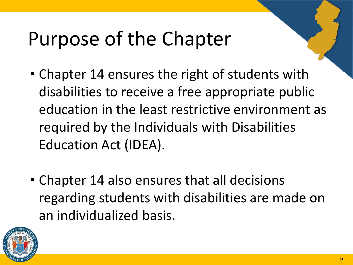# Purpose of the Chapter

- Chapter 14 ensures the right of students with disabilities to receive a free appropriate public education in the least restrictive environment as required by the Individuals with Disabilities Education Act (IDEA).
- Chapter 14 also ensures that all decisions regarding students with disabilities are made on an individualized basis.

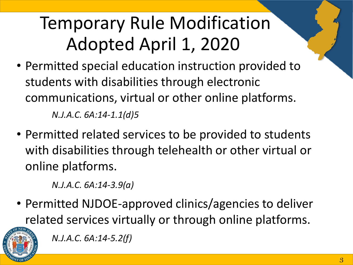## Temporary Rule Modification Adopted April 1, 2020

- Permitted special education instruction provided to students with disabilities through electronic communications, virtual or other online platforms. *N.J.A.C. 6A:14-1.1(d)5*
- Permitted related services to be provided to students with disabilities through telehealth or other virtual or online platforms.

*N.J.A.C. 6A:14-3.9(a)*

• Permitted NJDOE-approved clinics/agencies to deliver related services virtually or through online platforms.



*N.J.A.C. 6A:14-5.2(f)*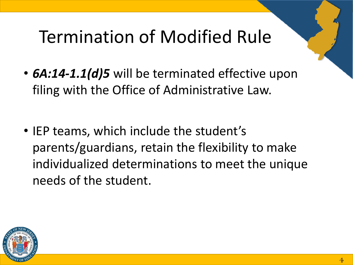### Termination of Modified Rule

- *6A:14-1.1(d)5* will be terminated effective upon filing with the Office of Administrative Law.
- IEP teams, which include the student's parents/guardians, retain the flexibility to make individualized determinations to meet the unique needs of the student.